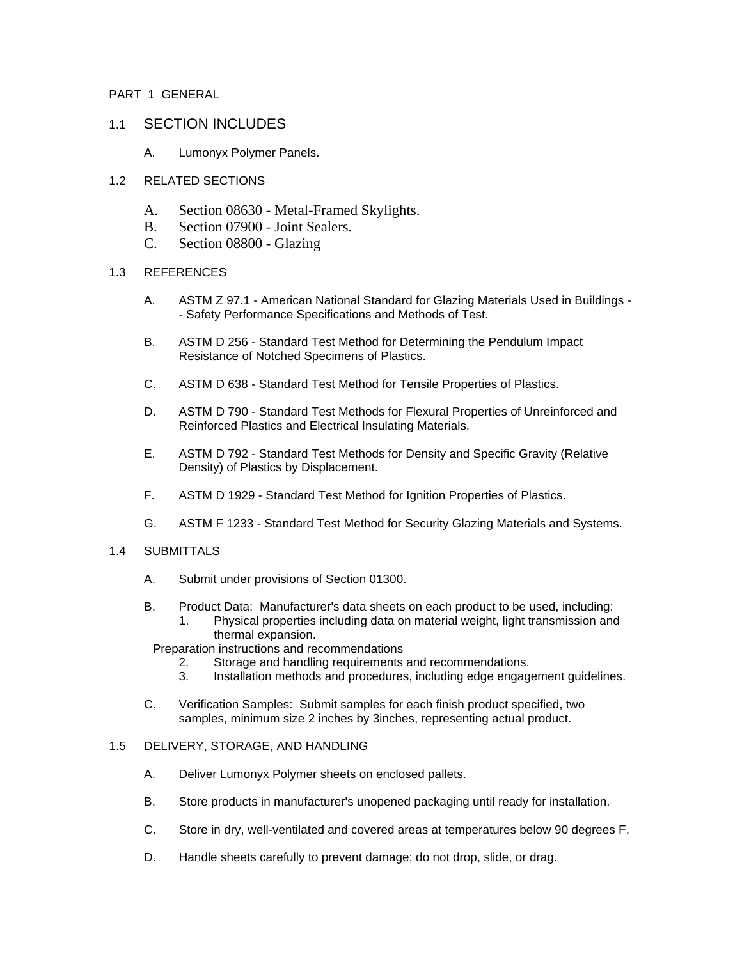## PART 1 GENERAL

# 1.1 SECTION INCLUDES

A. Lumonyx Polymer Panels.

# 1.2 RELATED SECTIONS

- A. Section 08630 Metal-Framed Skylights.
- B. Section 07900 Joint Sealers.
- C. Section 08800 Glazing

## 1.3 REFERENCES

- A. ASTM Z 97.1 American National Standard for Glazing Materials Used in Buildings - Safety Performance Specifications and Methods of Test.
- B. ASTM D 256 Standard Test Method for Determining the Pendulum Impact Resistance of Notched Specimens of Plastics.
- C. ASTM D 638 Standard Test Method for Tensile Properties of Plastics.
- D. ASTM D 790 Standard Test Methods for Flexural Properties of Unreinforced and Reinforced Plastics and Electrical Insulating Materials.
- E. ASTM D 792 Standard Test Methods for Density and Specific Gravity (Relative Density) of Plastics by Displacement.
- F. ASTM D 1929 Standard Test Method for Ignition Properties of Plastics.
- G. ASTM F 1233 Standard Test Method for Security Glazing Materials and Systems.

#### 1.4 SUBMITTALS

- A. Submit under provisions of Section 01300.
- B. Product Data: Manufacturer's data sheets on each product to be used, including:
	- 1. Physical properties including data on material weight, light transmission and thermal expansion.

#### Preparation instructions and recommendations

- 2. Storage and handling requirements and recommendations.
- 3. Installation methods and procedures, including edge engagement guidelines.
- C. Verification Samples: Submit samples for each finish product specified, two samples, minimum size 2 inches by 3inches, representing actual product.

# 1.5 DELIVERY, STORAGE, AND HANDLING

- A. Deliver Lumonyx Polymer sheets on enclosed pallets.
- B. Store products in manufacturer's unopened packaging until ready for installation.
- C. Store in dry, well-ventilated and covered areas at temperatures below 90 degrees F.
- D. Handle sheets carefully to prevent damage; do not drop, slide, or drag.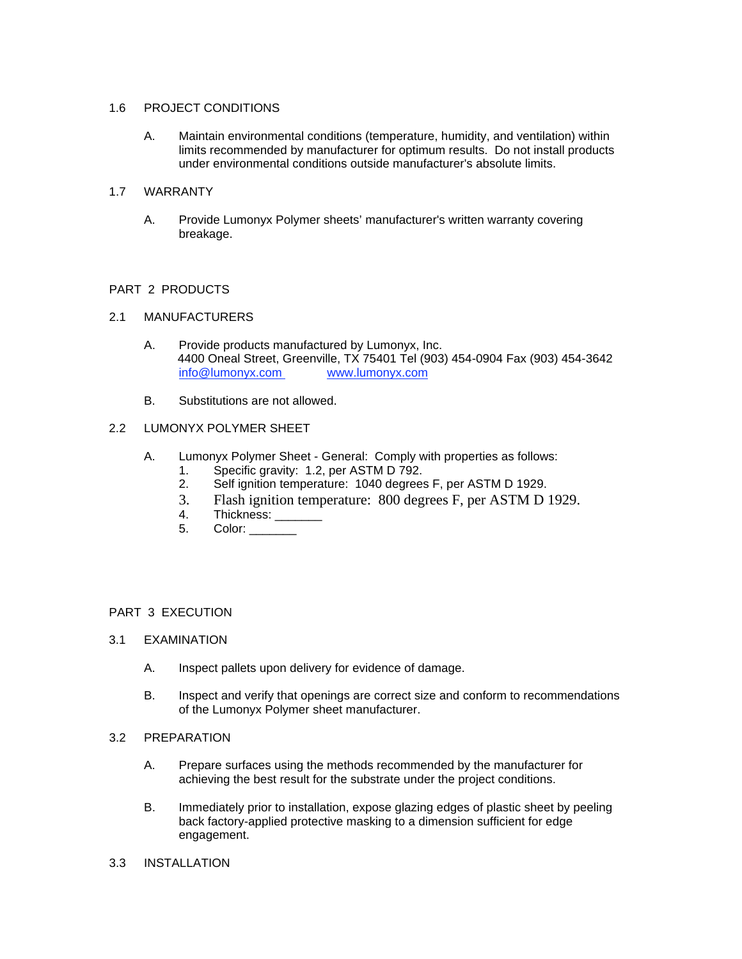### 1.6 PROJECT CONDITIONS

A. Maintain environmental conditions (temperature, humidity, and ventilation) within limits recommended by manufacturer for optimum results. Do not install products under environmental conditions outside manufacturer's absolute limits.

## 1.7 WARRANTY

A. Provide Lumonyx Polymer sheets' manufacturer's written warranty covering breakage.

## PART 2 PRODUCTS

## 2.1 MANUFACTURERS

- A. Provide products manufactured by Lumonyx, Inc. 4400 Oneal Street, Greenville, TX 75401 Tel (903) 454-0904 Fax (903) 454-3642 info@lumonyx.com www.lumonyx.com
- B. Substitutions are not allowed.

# 2.2 LUMONYX POLYMER SHEET

- A. Lumonyx Polymer Sheet General: Comply with properties as follows:
	- 1. Specific gravity: 1.2, per ASTM D 792.
	- 2. Self ignition temperature: 1040 degrees F, per ASTM D 1929.
	- 3. Flash ignition temperature: 800 degrees F, per ASTM D 1929.
	- 4. Thickness: \_\_\_\_\_\_\_
	- 5. Color: \_\_\_\_\_\_\_\_

# PART 3 EXECUTION

- 3.1 EXAMINATION
	- A. Inspect pallets upon delivery for evidence of damage.
	- B. Inspect and verify that openings are correct size and conform to recommendations of the Lumonyx Polymer sheet manufacturer.
- 3.2 PREPARATION
	- A. Prepare surfaces using the methods recommended by the manufacturer for achieving the best result for the substrate under the project conditions.
	- B. Immediately prior to installation, expose glazing edges of plastic sheet by peeling back factory-applied protective masking to a dimension sufficient for edge engagement.
- 3.3 INSTALLATION